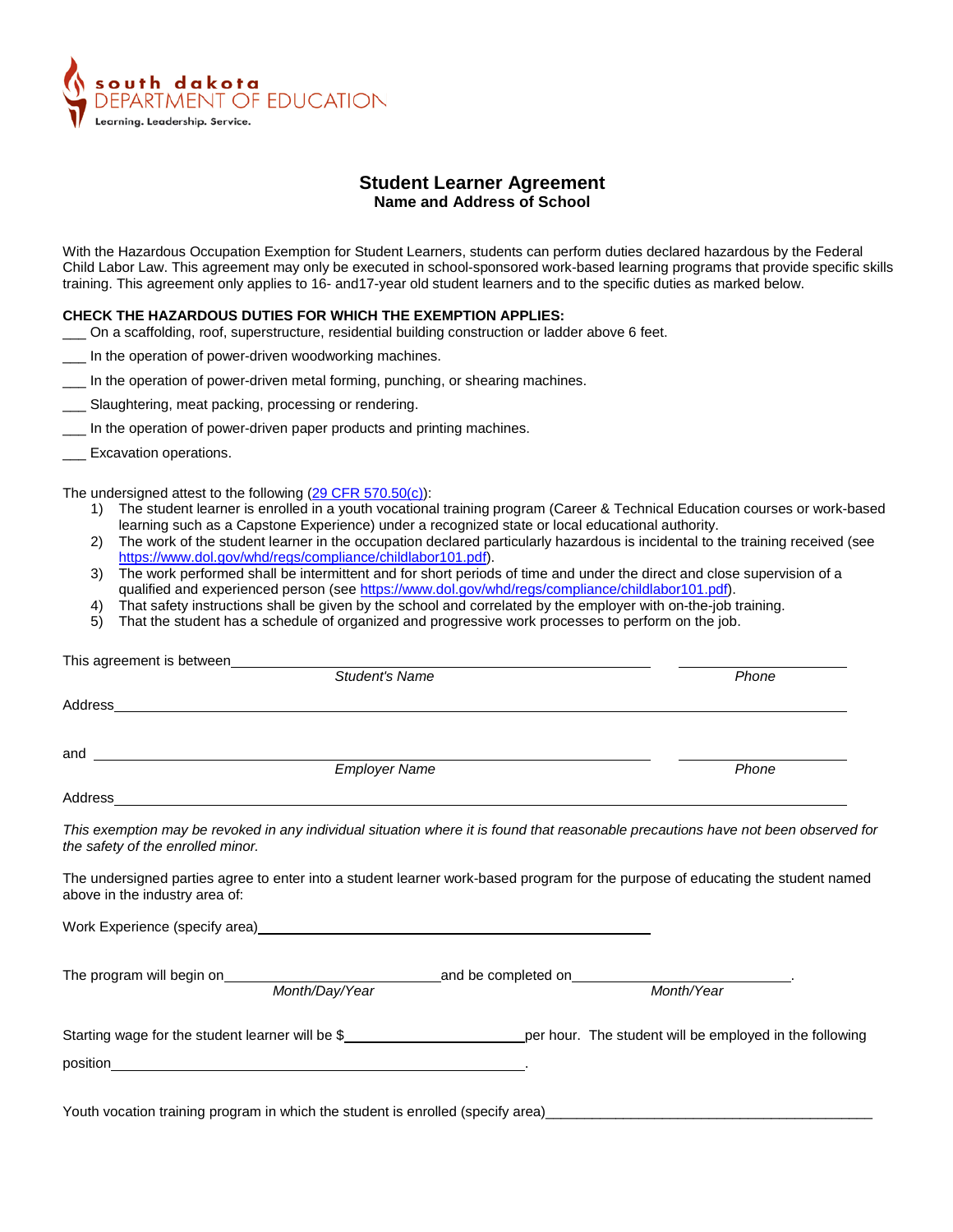

## **Student Learner Agreement Name and Address of School**

With the Hazardous Occupation Exemption for Student Learners, students can perform duties declared hazardous by the Federal Child Labor Law. This agreement may only be executed in school-sponsored work-based learning programs that provide specific skills training. This agreement only applies to 16- and17-year old student learners and to the specific duties as marked below.

## **CHECK THE HAZARDOUS DUTIES FOR WHICH THE EXEMPTION APPLIES:**

- \_\_\_ On a scaffolding, roof, superstructure, residential building construction or ladder above 6 feet.
- In the operation of power-driven woodworking machines.
- In the operation of power-driven metal forming, punching, or shearing machines.
- \_\_\_ Slaughtering, meat packing, processing or rendering.
- \_\_\_ In the operation of power-driven paper products and printing machines.
- Excavation operations.

The undersigned attest to the following [\(29 CFR 570.50\(c\)\)](https://www.ecfr.gov/cgi-bin/text-idx?SID=c890d160091dbe43197686e61c498dc2&node=se29.3.570_150&rgn=div8):

- 1) The student learner is enrolled in a youth vocational training program (Career & Technical Education courses or work-based learning such as a Capstone Experience) under a recognized state or local educational authority.
- 2) The work of the student learner in the occupation declared particularly hazardous is incidental to the training received (see [https://www.dol.gov/whd/regs/compliance/childlabor101.pdf\)](https://www.dol.gov/whd/regs/compliance/childlabor101.pdf).
- 3) The work performed shall be intermittent and for short periods of time and under the direct and close supervision of a qualified and experienced person (se[e https://www.dol.gov/whd/regs/compliance/childlabor101.pdf\)](https://www.dol.gov/whd/regs/compliance/childlabor101.pdf).
- 4) That safety instructions shall be given by the school and correlated by the employer with on-the-job training.
- 5) That the student has a schedule of organized and progressive work processes to perform on the job.

| This agreement is between_____________                                                                                                                                                                                         | <b>Student's Name</b> | Phone                                                                                                                              |
|--------------------------------------------------------------------------------------------------------------------------------------------------------------------------------------------------------------------------------|-----------------------|------------------------------------------------------------------------------------------------------------------------------------|
|                                                                                                                                                                                                                                |                       |                                                                                                                                    |
|                                                                                                                                                                                                                                |                       |                                                                                                                                    |
|                                                                                                                                                                                                                                | <b>Employer Name</b>  | Phone                                                                                                                              |
| Address and the contract of the contract of the contract of the contract of the contract of the contract of the contract of the contract of the contract of the contract of the contract of the contract of the contract of th |                       |                                                                                                                                    |
| the safety of the enrolled minor.                                                                                                                                                                                              |                       | This exemption may be revoked in any individual situation where it is found that reasonable precautions have not been observed for |
| above in the industry area of:                                                                                                                                                                                                 |                       | The undersigned parties agree to enter into a student learner work-based program for the purpose of educating the student named    |
|                                                                                                                                                                                                                                |                       |                                                                                                                                    |
|                                                                                                                                                                                                                                |                       |                                                                                                                                    |
|                                                                                                                                                                                                                                |                       |                                                                                                                                    |

Youth vocation training program in which the student is enrolled (specify area)\_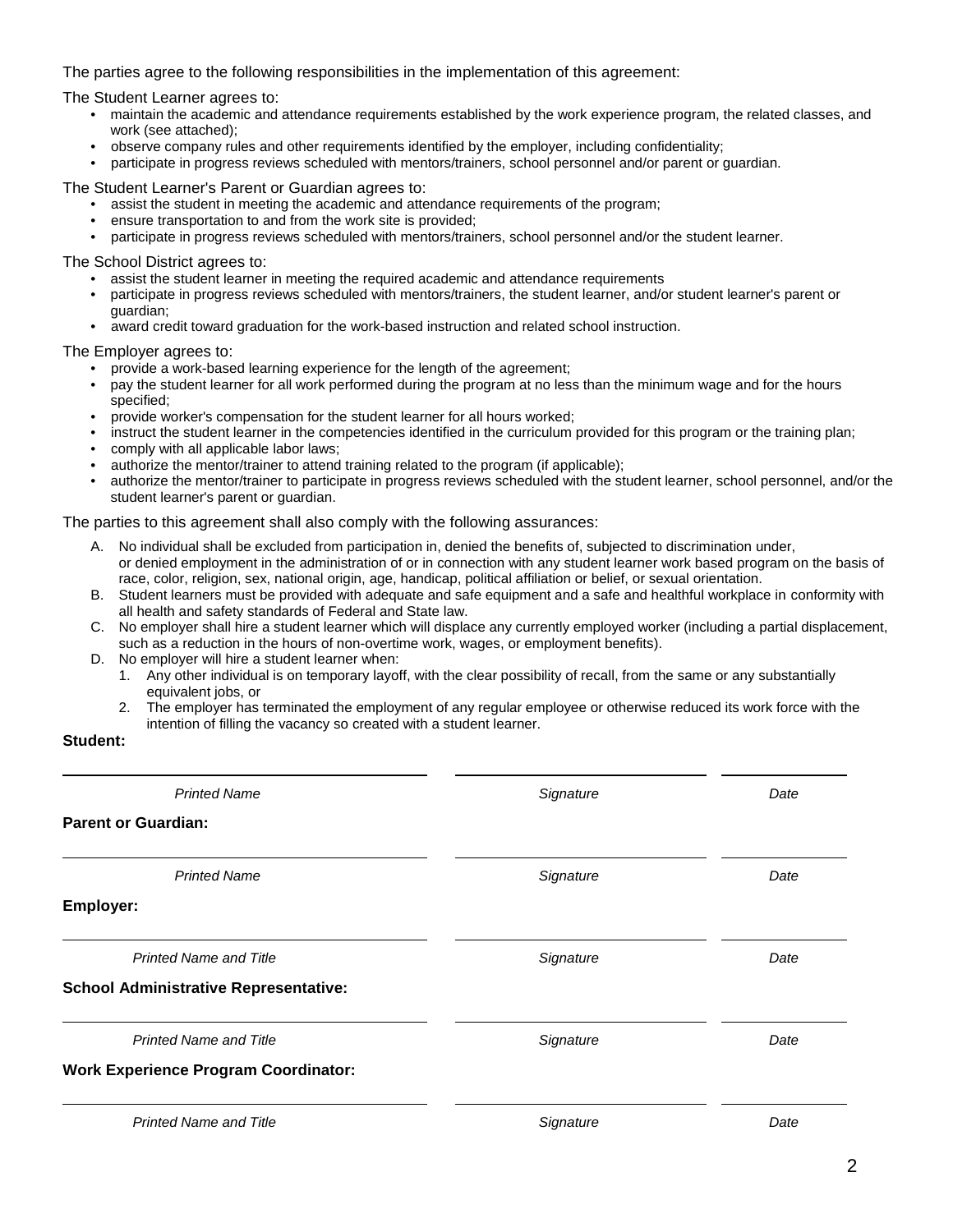The parties agree to the following responsibilities in the implementation of this agreement:

The Student Learner agrees to:

- maintain the academic and attendance requirements established by the work experience program, the related classes, and work (see attached);
- observe company rules and other requirements identified by the employer, including confidentiality;
- participate in progress reviews scheduled with mentors/trainers, school personnel and/or parent or guardian.

The Student Learner's Parent or Guardian agrees to:

- assist the student in meeting the academic and attendance requirements of the program;
- ensure transportation to and from the work site is provided;
- participate in progress reviews scheduled with mentors/trainers, school personnel and/or the student learner.

The School District agrees to:

- assist the student learner in meeting the required academic and attendance requirements
- participate in progress reviews scheduled with mentors/trainers, the student learner, and/or student learner's parent or guardian;
- award credit toward graduation for the work-based instruction and related school instruction.

The Employer agrees to:

- provide a work-based learning experience for the length of the agreement;
- pay the student learner for all work performed during the program at no less than the minimum wage and for the hours specified;
- provide worker's compensation for the student learner for all hours worked;
- instruct the student learner in the competencies identified in the curriculum provided for this program or the training plan;
- comply with all applicable labor laws;
- authorize the mentor/trainer to attend training related to the program (if applicable);
- authorize the mentor/trainer to participate in progress reviews scheduled with the student learner, school personnel, and/or the student learner's parent or guardian.

The parties to this agreement shall also comply with the following assurances:

- A. No individual shall be excluded from participation in, denied the benefits of, subjected to discrimination under, or denied employment in the administration of or in connection with any student learner work based program on the basis of race, color, religion, sex, national origin, age, handicap, political affiliation or belief, or sexual orientation.
- B. Student learners must be provided with adequate and safe equipment and a safe and healthful workplace in conformity with all health and safety standards of Federal and State law.
- C. No employer shall hire a student learner which will displace any currently employed worker (including a partial displacement, such as a reduction in the hours of non-overtime work, wages, or employment benefits).
- D. No employer will hire a student learner when:
	- 1. Any other individual is on temporary layoff, with the clear possibility of recall, from the same or any substantially equivalent jobs, or
	- 2. The employer has terminated the employment of any regular employee or otherwise reduced its work force with the intention of filling the vacancy so created with a student learner.

## **Student:**

| <b>Printed Name</b>                          | Signature | Date |
|----------------------------------------------|-----------|------|
| <b>Parent or Guardian:</b>                   |           |      |
| <b>Printed Name</b>                          | Signature | Date |
| Employer:                                    |           |      |
| <b>Printed Name and Title</b>                | Signature | Date |
| <b>School Administrative Representative:</b> |           |      |
| <b>Printed Name and Title</b>                | Signature | Date |
| <b>Work Experience Program Coordinator:</b>  |           |      |
| <b>Printed Name and Title</b>                | Signature | Date |
|                                              |           |      |